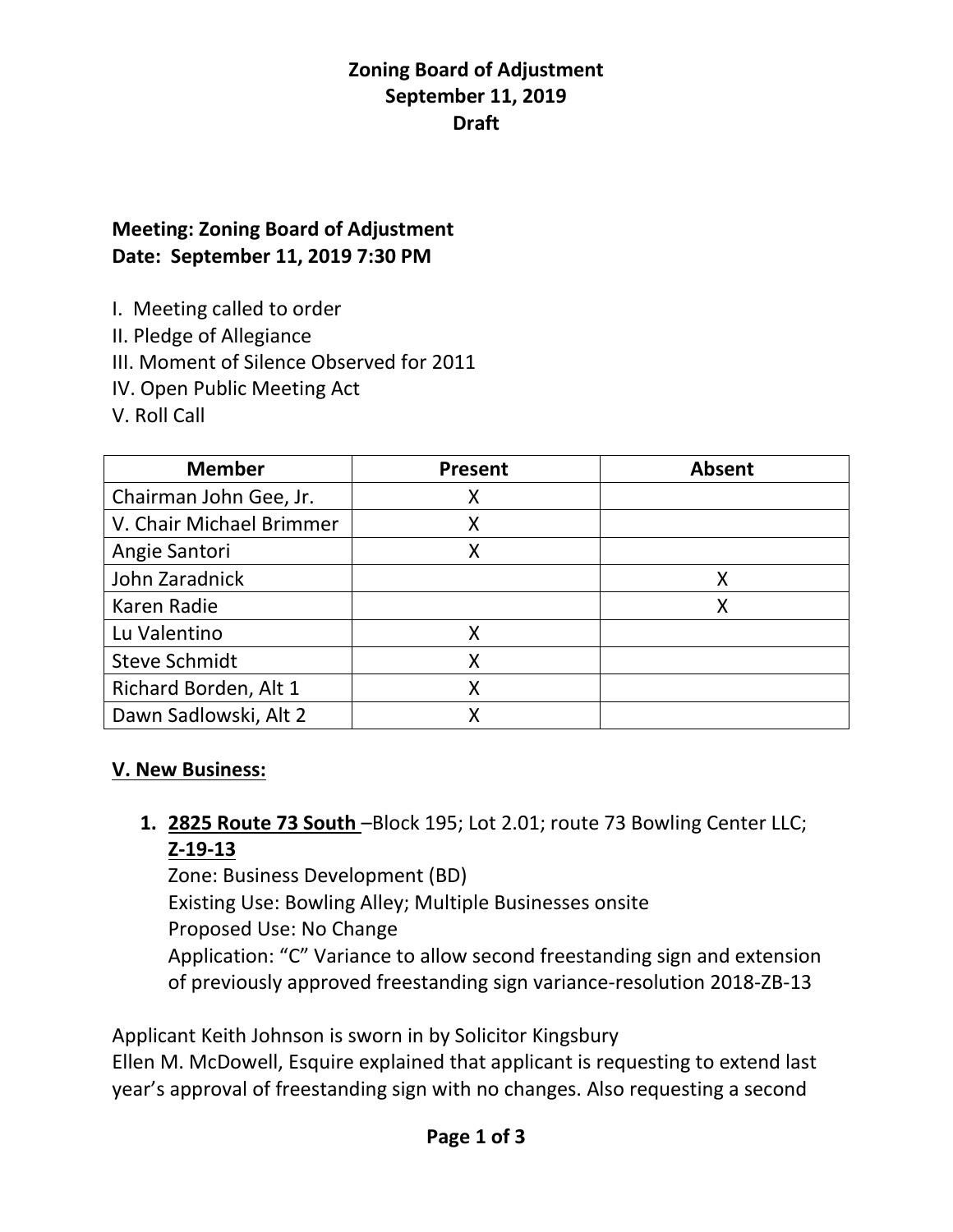### **Zoning Board of Adjustment September 11, 2019 Draft**

# **Meeting: Zoning Board of Adjustment Date: September 11, 2019 7:30 PM**

I. Meeting called to order

II. Pledge of Allegiance

III. Moment of Silence Observed for 2011

IV. Open Public Meeting Act

V. Roll Call

| <b>Member</b>            | <b>Present</b> | <b>Absent</b> |
|--------------------------|----------------|---------------|
| Chairman John Gee, Jr.   | Χ              |               |
| V. Chair Michael Brimmer | Χ              |               |
| Angie Santori            |                |               |
| John Zaradnick           |                |               |
| Karen Radie              |                | Χ             |
| Lu Valentino             | Χ              |               |
| <b>Steve Schmidt</b>     |                |               |
| Richard Borden, Alt 1    |                |               |
| Dawn Sadlowski, Alt 2    |                |               |

### **V. New Business:**

**1. 2825 Route 73 South** –Block 195; Lot 2.01; route 73 Bowling Center LLC; **Z-19-13**

Zone: Business Development (BD) Existing Use: Bowling Alley; Multiple Businesses onsite Proposed Use: No Change Application: "C" Variance to allow second freestanding sign and extension of previously approved freestanding sign variance-resolution 2018-ZB-13

Applicant Keith Johnson is sworn in by Solicitor Kingsbury Ellen M. McDowell, Esquire explained that applicant is requesting to extend last year's approval of freestanding sign with no changes. Also requesting a second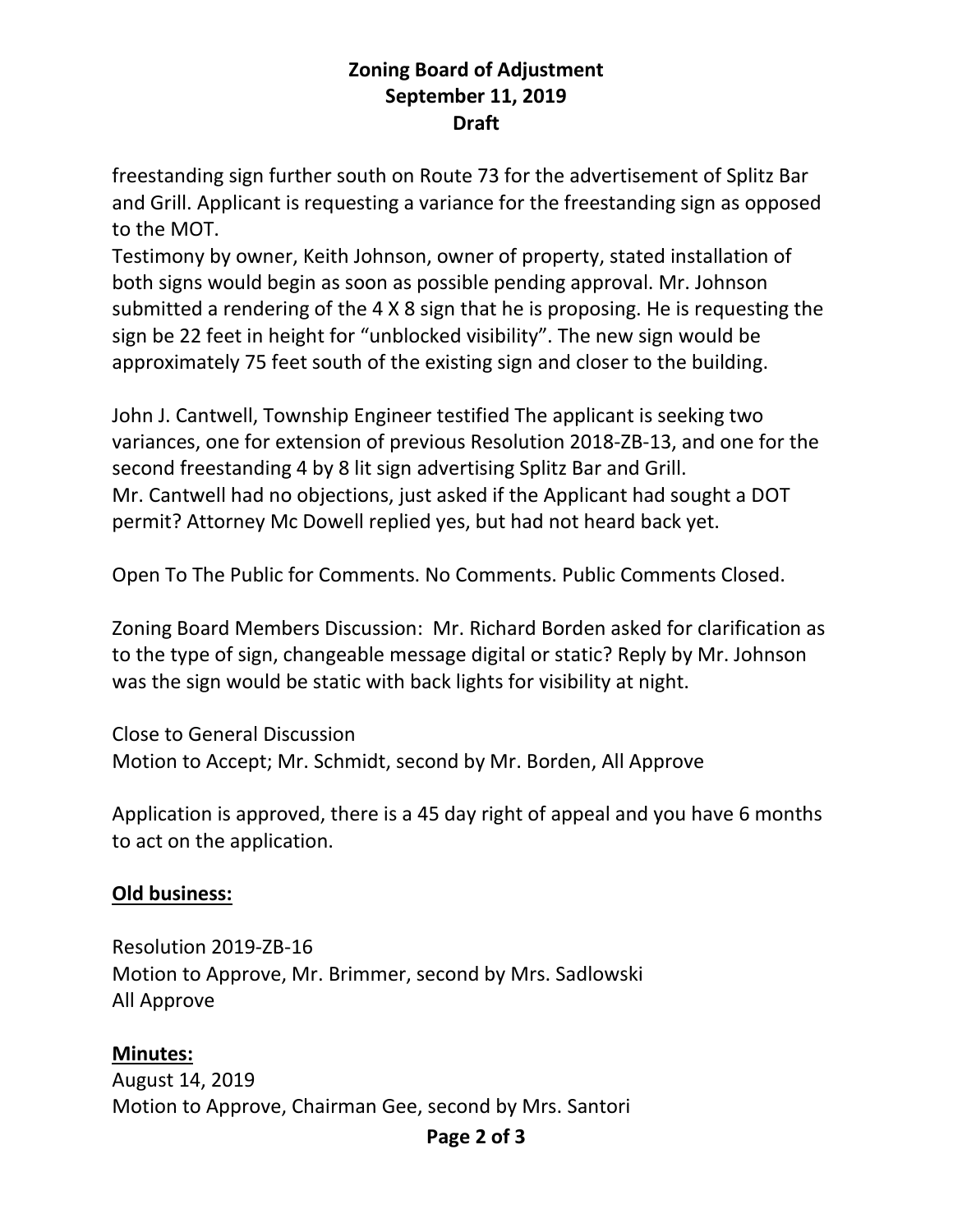### **Zoning Board of Adjustment September 11, 2019 Draft**

freestanding sign further south on Route 73 for the advertisement of Splitz Bar and Grill. Applicant is requesting a variance for the freestanding sign as opposed to the MOT.

Testimony by owner, Keith Johnson, owner of property, stated installation of both signs would begin as soon as possible pending approval. Mr. Johnson submitted a rendering of the 4 X 8 sign that he is proposing. He is requesting the sign be 22 feet in height for "unblocked visibility". The new sign would be approximately 75 feet south of the existing sign and closer to the building.

John J. Cantwell, Township Engineer testified The applicant is seeking two variances, one for extension of previous Resolution 2018-ZB-13, and one for the second freestanding 4 by 8 lit sign advertising Splitz Bar and Grill. Mr. Cantwell had no objections, just asked if the Applicant had sought a DOT permit? Attorney Mc Dowell replied yes, but had not heard back yet.

Open To The Public for Comments. No Comments. Public Comments Closed.

Zoning Board Members Discussion: Mr. Richard Borden asked for clarification as to the type of sign, changeable message digital or static? Reply by Mr. Johnson was the sign would be static with back lights for visibility at night.

Close to General Discussion Motion to Accept; Mr. Schmidt, second by Mr. Borden, All Approve

Application is approved, there is a 45 day right of appeal and you have 6 months to act on the application.

### **Old business:**

Resolution 2019-ZB-16 Motion to Approve, Mr. Brimmer, second by Mrs. Sadlowski All Approve

# **Minutes:**

August 14, 2019 Motion to Approve, Chairman Gee, second by Mrs. Santori

#### **Page 2 of 3**